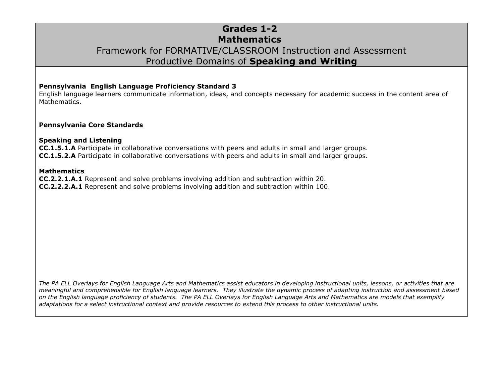### **Grades 1-2 Mathematics** Framework for FORMATIVE/CLASSROOM Instruction and Assessment Productive Domains of **Speaking and Writing**

#### **Pennsylvania English Language Proficiency Standard 3**

English language learners communicate information, ideas, and concepts necessary for academic success in the content area of Mathematics.

#### **Pennsylvania Core Standards**

#### **Speaking and Listening**

**CC.1.5.1.A** Participate in collaborative conversations with peers and adults in small and larger groups. **CC.1.5.2.A** Participate in collaborative conversations with peers and adults in small and larger groups.

#### **Mathematics**

**CC.2.2.1.A.1** Represent and solve problems involving addition and subtraction within 20. **CC.2.2.2.A.1** Represent and solve problems involving addition and subtraction within 100.

*The PA ELL Overlays for English Language Arts and Mathematics assist educators in developing instructional units, lessons, or activities that are meaningful and comprehensible for English language learners. They illustrate the dynamic process of adapting instruction and assessment based on the English language proficiency of students. The PA ELL Overlays for English Language Arts and Mathematics are models that exemplify adaptations for a select instructional context and provide resources to extend this process to other instructional units.*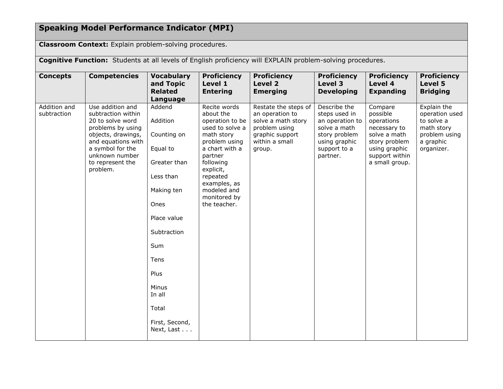## **Speaking Model Performance Indicator (MPI)**

**Classroom Context:** Explain problem-solving procedures.

**Cognitive Function:** Students at all levels of English proficiency will EXPLAIN problem-solving procedures.

| <b>Concepts</b>             | <b>Competencies</b>                                                                                                                                                                               | <b>Vocabulary</b><br>and Topic<br><b>Related</b><br>Language                                                                                                                                                      | <b>Proficiency</b><br>Level 1<br><b>Entering</b>                                                                                                                                                                                 | <b>Proficiency</b><br><b>Level 2</b><br><b>Emerging</b>                                                                       | <b>Proficiency</b><br>Level 3<br><b>Developing</b>                                                                             | <b>Proficiency</b><br>Level 4<br><b>Expanding</b>                                                                                       | <b>Proficiency</b><br>Level 5<br><b>Bridging</b>                                                      |
|-----------------------------|---------------------------------------------------------------------------------------------------------------------------------------------------------------------------------------------------|-------------------------------------------------------------------------------------------------------------------------------------------------------------------------------------------------------------------|----------------------------------------------------------------------------------------------------------------------------------------------------------------------------------------------------------------------------------|-------------------------------------------------------------------------------------------------------------------------------|--------------------------------------------------------------------------------------------------------------------------------|-----------------------------------------------------------------------------------------------------------------------------------------|-------------------------------------------------------------------------------------------------------|
| Addition and<br>subtraction | Use addition and<br>subtraction within<br>20 to solve word<br>problems by using<br>objects, drawings,<br>and equations with<br>a symbol for the<br>unknown number<br>to represent the<br>problem. | Addend<br>Addition<br>Counting on<br>Equal to<br>Greater than<br>Less than<br>Making ten<br>Ones<br>Place value<br>Subtraction<br>Sum<br>Tens<br>Plus<br>Minus<br>In all<br>Total<br>First, Second,<br>Next, Last | Recite words<br>about the<br>operation to be<br>used to solve a<br>math story<br>problem using<br>a chart with a<br>partner<br>following<br>explicit,<br>repeated<br>examples, as<br>modeled and<br>monitored by<br>the teacher. | Restate the steps of<br>an operation to<br>solve a math story<br>problem using<br>graphic support<br>within a small<br>group. | Describe the<br>steps used in<br>an operation to<br>solve a math<br>story problem<br>using graphic<br>support to a<br>partner. | Compare<br>possible<br>operations<br>necessary to<br>solve a math<br>story problem<br>using graphic<br>support within<br>a small group. | Explain the<br>operation used<br>to solve a<br>math story<br>problem using<br>a graphic<br>organizer. |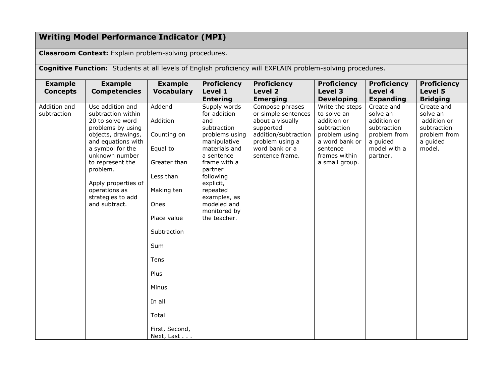# **Writing Model Performance Indicator (MPI)**

**Classroom Context:** Explain problem-solving procedures.

**Cognitive Function:** Students at all levels of English proficiency will EXPLAIN problem-solving procedures.

| <b>Example</b>                                                                                                                                                                                                                                                                  | <b>Example</b>                                                                                                                                                                                      | <b>Proficiency</b>                                                                                                                                                                                                                                  |                                                                                                                                                         | <b>Proficiency</b>                                                                                                                             | <b>Proficiency</b>                                                                                           | <b>Proficiency</b>                                                                         |
|---------------------------------------------------------------------------------------------------------------------------------------------------------------------------------------------------------------------------------------------------------------------------------|-----------------------------------------------------------------------------------------------------------------------------------------------------------------------------------------------------|-----------------------------------------------------------------------------------------------------------------------------------------------------------------------------------------------------------------------------------------------------|---------------------------------------------------------------------------------------------------------------------------------------------------------|------------------------------------------------------------------------------------------------------------------------------------------------|--------------------------------------------------------------------------------------------------------------|--------------------------------------------------------------------------------------------|
| <b>Competencies</b>                                                                                                                                                                                                                                                             | <b>Vocabulary</b>                                                                                                                                                                                   | Level 1                                                                                                                                                                                                                                             | Level 2                                                                                                                                                 | Level 3                                                                                                                                        | Level 4                                                                                                      | Level 5                                                                                    |
|                                                                                                                                                                                                                                                                                 |                                                                                                                                                                                                     | <b>Entering</b>                                                                                                                                                                                                                                     | <b>Emerging</b>                                                                                                                                         | <b>Developing</b>                                                                                                                              | <b>Expanding</b>                                                                                             | <b>Bridging</b>                                                                            |
| Use addition and<br>subtraction within<br>20 to solve word<br>problems by using<br>objects, drawings,<br>and equations with<br>a symbol for the<br>unknown number<br>to represent the<br>problem.<br>Apply properties of<br>operations as<br>strategies to add<br>and subtract. | Addend<br>Addition<br>Counting on<br>Equal to<br>Greater than<br>Less than<br>Making ten<br>Ones<br>Place value<br>Subtraction<br>Sum<br>Tens<br>Plus<br>Minus<br>In all<br>Total<br>First, Second, | Supply words<br>for addition<br>and<br>subtraction<br>problems using<br>manipulative<br>materials and<br>a sentence<br>frame with a<br>partner<br>following<br>explicit,<br>repeated<br>examples, as<br>modeled and<br>monitored by<br>the teacher. | Compose phrases<br>or simple sentences<br>about a visually<br>supported<br>addition/subtraction<br>problem using a<br>word bank or a<br>sentence frame. | Write the steps<br>to solve an<br>addition or<br>subtraction<br>problem using<br>a word bank or<br>sentence<br>frames within<br>a small group. | Create and<br>solve an<br>addition or<br>subtraction<br>problem from<br>a guided<br>model with a<br>partner. | Create and<br>solve an<br>addition or<br>subtraction<br>problem from<br>a guided<br>model. |
|                                                                                                                                                                                                                                                                                 |                                                                                                                                                                                                     |                                                                                                                                                                                                                                                     |                                                                                                                                                         | <b>Proficiency</b>                                                                                                                             |                                                                                                              |                                                                                            |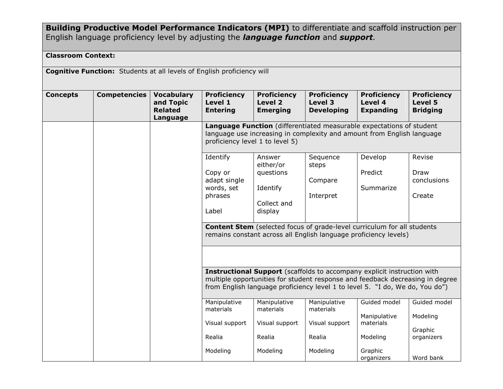**Building Productive Model Performance Indicators (MPI)** to differentiate and scaffold instruction per English language proficiency level by adjusting the *language function* and *support.*

### **Classroom Context:**

**Cognitive Function:** Students at all levels of English proficiency will

| <b>Concepts</b> | <b>Competencies</b> | <b>Vocabulary</b><br>and Topic<br><b>Related</b><br>Language | <b>Proficiency</b><br>Level 1<br><b>Entering</b>                                                                                                                                                                                         | <b>Proficiency</b><br>Level <sub>2</sub><br><b>Emerging</b> | <b>Proficiency</b><br>Level 3<br><b>Developing</b> | <b>Proficiency</b><br>Level 4<br><b>Expanding</b>                                                                                                  | <b>Proficiency</b><br>Level 5<br><b>Bridging</b> |  |
|-----------------|---------------------|--------------------------------------------------------------|------------------------------------------------------------------------------------------------------------------------------------------------------------------------------------------------------------------------------------------|-------------------------------------------------------------|----------------------------------------------------|----------------------------------------------------------------------------------------------------------------------------------------------------|--------------------------------------------------|--|
|                 |                     |                                                              | Language Function (differentiated measurable expectations of student<br>language use increasing in complexity and amount from English language<br>proficiency level 1 to level 5)                                                        |                                                             |                                                    |                                                                                                                                                    |                                                  |  |
|                 |                     |                                                              | Identify                                                                                                                                                                                                                                 | Answer<br>either/or                                         | Sequence<br>steps                                  | Develop                                                                                                                                            | Revise                                           |  |
|                 |                     |                                                              | Copy or<br>adapt single<br>words, set                                                                                                                                                                                                    | questions<br>Identify                                       | Compare                                            | Predict<br>Summarize                                                                                                                               | Draw<br>conclusions                              |  |
|                 |                     |                                                              | phrases                                                                                                                                                                                                                                  | Collect and                                                 | Interpret                                          |                                                                                                                                                    | Create                                           |  |
|                 |                     |                                                              | Label                                                                                                                                                                                                                                    | display                                                     |                                                    |                                                                                                                                                    |                                                  |  |
|                 |                     |                                                              |                                                                                                                                                                                                                                          |                                                             |                                                    | <b>Content Stem</b> (selected focus of grade-level curriculum for all students<br>remains constant across all English language proficiency levels) |                                                  |  |
|                 |                     |                                                              |                                                                                                                                                                                                                                          |                                                             |                                                    |                                                                                                                                                    |                                                  |  |
|                 |                     |                                                              | Instructional Support (scaffolds to accompany explicit instruction with<br>multiple opportunities for student response and feedback decreasing in degree<br>from English language proficiency level 1 to level 5. "I do, We do, You do") |                                                             |                                                    |                                                                                                                                                    |                                                  |  |
|                 |                     |                                                              | Manipulative<br>materials                                                                                                                                                                                                                | Manipulative<br>materials                                   | Manipulative<br>materials                          | Guided model                                                                                                                                       | Guided model                                     |  |
|                 |                     |                                                              | Visual support                                                                                                                                                                                                                           | Visual support                                              | Visual support                                     | Manipulative<br>materials                                                                                                                          | Modeling                                         |  |
|                 |                     |                                                              | Realia                                                                                                                                                                                                                                   | Realia                                                      | Realia                                             | Modeling                                                                                                                                           | Graphic<br>organizers                            |  |
|                 |                     |                                                              | Modeling                                                                                                                                                                                                                                 | Modeling                                                    | Modeling                                           | Graphic<br>organizers                                                                                                                              | Word bank                                        |  |